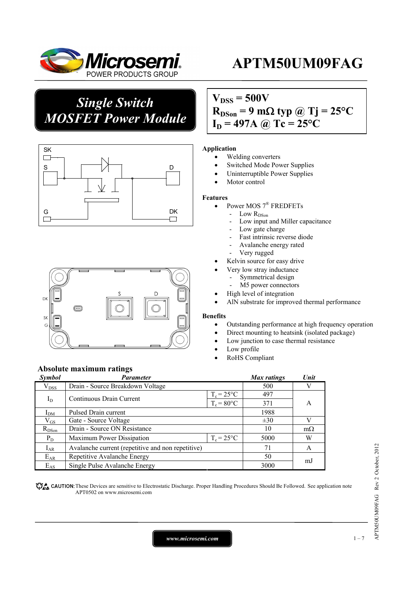

*Single Switch MOSFET Power Module*





## $V_{DSS} = 500V$  $R_{DSon}$  = 9 m $\Omega$  typ @ Tj = 25<sup>o</sup>C  $I_D = 497A$  @ Tc = 25°C

#### **Application**

- Welding converters
- Switched Mode Power Supplies
- Uninterruptible Power Supplies
- Motor control

#### **Features**

- Power MOS 7® FREDFETs
	- Low R<sub>DSon</sub>
		- Low input and Miller capacitance
		- Low gate charge
		- Fast intrinsic reverse diode
		- Avalanche energy rated
		- Very rugged
	- Kelvin source for easy drive
		- Very low stray inductance
		- Symmetrical design
		- M5 power connectors
	- High level of integration
	- AlN substrate for improved thermal performance

#### **Benefits**

- Outstanding performance at high frequency operation
- Direct mounting to heatsink (isolated package)
- Low junction to case thermal resistance
- Low profile
- RoHS Compliant

### **Absolute maximum ratings**

| Symbol        | <b>Parameter</b>                                  |                     | Max ratings | Unit      |  |
|---------------|---------------------------------------------------|---------------------|-------------|-----------|--|
| $\rm V_{DSS}$ | Drain - Source Breakdown Voltage                  | 500                 |             |           |  |
| $I_D$         | Continuous Drain Current                          | $T_c = 25^{\circ}C$ | 497         |           |  |
|               |                                                   | $T_c = 80$ °C       | 371         | А         |  |
| $I_{DM}$      | Pulsed Drain current                              | 1988                |             |           |  |
| $\rm V_{GS}$  | Gate - Source Voltage                             |                     | $\pm 30$    | V         |  |
| $R_{DSon}$    | Drain - Source ON Resistance                      |                     | 10          | $m\Omega$ |  |
| $P_D$         | $T_c = 25^{\circ}C$<br>Maximum Power Dissipation  |                     | 5000        | W         |  |
| $I_{AR}$      | Avalanche current (repetitive and non repetitive) |                     | 71          | A         |  |
| $E_{AR}$      | Repetitive Avalanche Energy                       |                     | 50          |           |  |
| $E_{AS}$      | Single Pulse Avalanche Energy                     |                     | 3000        | mJ        |  |

CAUTION: These Devices are sensitive to Electrostatic Discharge. Proper Handling Procedures Should Be Followed. See application note APT0502 on www.microsemi.com

*www.microsemi.com* 1-7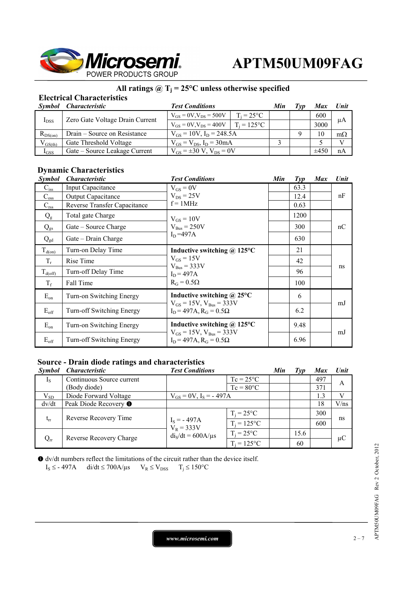

### **All ratings @ Tj = 25°C unless otherwise specified**

### **Electrical Characteristics**

| Symbol       | <i>Characteristic</i>           | <b>Test Conditions</b>              |                     | Min | Tvv | <b>Max</b> | Unit         |
|--------------|---------------------------------|-------------------------------------|---------------------|-----|-----|------------|--------------|
| $I_{DSS}$    | Zero Gate Voltage Drain Current | $V_{GS} = 0V$ , $V_{DS} = 500V$     | $T_i = 25^{\circ}C$ |     |     | 600        | μA           |
|              |                                 | $V_{GS} = 0V$ , $V_{DS} = 400V$     | $T_i = 125$ °C      |     |     | 3000       |              |
| $R_{DS(on)}$ | Drain – Source on Resistance    | $V_{GS} = 10V$ , $I_D = 248.5A$     |                     |     |     | 10         | $m\Omega$    |
| $V_{GS(th)}$ | Gate Threshold Voltage          | $V_{GS} = V_{DS}$ , $I_D = 30mA$    |                     |     |     |            | $\mathbf{V}$ |
| $I_{GSS}$    | Gate – Source Leakage Current   | $V_{GS} = \pm 30 V$ , $V_{DS} = 0V$ |                     |     |     | $\pm 450$  | nA           |

#### **Dynamic Characteristics**

| <i>Symbol</i>       | <i><b>Characteristic</b></i> | <b>Test Conditions</b>                                                   | Min | $\mathcal{I}yp$ | <b>Max</b> | Unit |
|---------------------|------------------------------|--------------------------------------------------------------------------|-----|-----------------|------------|------|
| $C_{iss}$           | Input Capacitance            | $V_{GS} = 0V$                                                            |     | 63.3            |            |      |
| $C_{\rm oss}$       | <b>Output Capacitance</b>    | $V_{DS}$ = 25V                                                           |     | 12.4            |            | nF   |
| $C_{\rm rss}$       | Reverse Transfer Capacitance | $f = 1MHz$                                                               |     | 0.63            |            |      |
| $Q_{\rm g}$         | Total gate Charge            | $V_{GS} = 10V$                                                           |     | 1200            |            |      |
| $Q_{gs}$            | Gate – Source Charge         | $V_{Bus} = 250V$                                                         |     | 300             |            | nC   |
| $Q_{gd}$            | Gate - Drain Charge          | $I_D = 497A$                                                             |     | 630             |            |      |
| $T_{d(0n)}$         | Turn-on Delay Time           | Inductive switching $\omega$ 125°C                                       |     | 21              |            |      |
| $T_r$               | Rise Time                    | $V_{GS} = 15V$<br>$V_{Bus} = 333V$<br>$I_D = 497A$<br>$R_G = 0.5\Omega$  |     | 42              |            | ns   |
| $T_{d(\text{off})}$ | Turn-off Delay Time          |                                                                          |     | 96              |            |      |
| $T_f$               | Fall Time                    |                                                                          |     | 100             |            |      |
| $E_{on}$            | Turn-on Switching Energy     | Inductive switching $\omega$ 25°C                                        |     | 6               |            |      |
| $E_{\text{off}}$    | Turn-off Switching Energy    | $V_{GS} = 15V$ , $V_{Bus} = 333V$<br>$I_D = 497A$ , $R_G = 0.5\Omega$    |     | 6.2             |            | mJ   |
| $E_{on}$            | Turn-on Switching Energy     | Inductive switching $\omega$ 125°C                                       |     | 9.48            |            |      |
| $E_{\text{off}}$    | Turn-off Switching Energy    | $V_{GS} = 15V$ , $V_{Bus} = 333V$<br>$I_D$ = 497A, R <sub>G</sub> = 0.5Ω |     | 6.96            |            | mJ   |

### **Source - Drain diode ratings and characteristics**

| <i>Symbol</i> | <i><b>Characteristic</b></i>     | <b>Test Conditions</b>        |                     | Min | Typ  | <b>Max</b> | <b>Unit</b> |
|---------------|----------------------------------|-------------------------------|---------------------|-----|------|------------|-------------|
| $I_{S}$       | Continuous Source current        |                               | $Tc = 25^{\circ}C$  |     |      | 497        | A           |
|               | (Body diode)                     |                               | $Tc = 80^{\circ}C$  |     |      | 371        |             |
| $V_{SD}$      | Diode Forward Voltage            | $V_{GS} = 0V$ , $I_S = -497A$ |                     |     |      | 1.3        | V           |
| dv/dt         | Peak Diode Recovery <sup>O</sup> |                               |                     |     |      | 18         | V/ns        |
| $t_{rr}$      | Reverse Recovery Time            |                               | $T_i = 25^{\circ}C$ |     |      | 300        | ns          |
|               |                                  | $I_S = -497A$<br>$V_R = 333V$ | $T_i = 125$ °C      |     |      | 600        |             |
| $Q_{rr}$      | Reverse Recovery Charge          | $dis/dt = 600A/\mu s$         | $T_i = 25^{\circ}C$ |     | 15.6 |            | μC          |
|               |                                  |                               | $T_i = 125$ °C      |     | 60   |            |             |

 dv/dt numbers reflect the limitations of the circuit rather than the device itself.  $I_S \leq$  - 497A di/dt  $\leq$  700A/ $\mu$ s  $V_R \leq V_{DSS}$   $T_j \leq 150^{\circ}C$ 

*www.microsemi.com* 2-7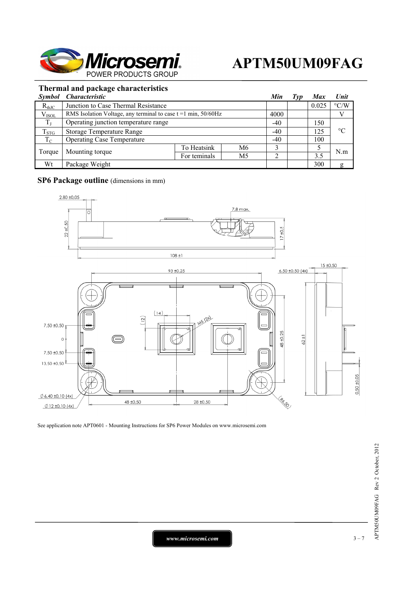

### **Thermal and package characteristics**

| <i>Symbol</i> | <i>Characteristic</i>                                            |              |                | Min   | $\Gamma$ <i>yp</i> | <b>Max</b> | <b>Unit</b>        |
|---------------|------------------------------------------------------------------|--------------|----------------|-------|--------------------|------------|--------------------|
| $R_{thJC}$    | Junction to Case Thermal Resistance                              |              |                |       |                    | 0.025      | $\rm ^{\circ} C/W$ |
| $V_{ISOL}$    | RMS Isolation Voltage, any terminal to case $t = 1$ min, 50/60Hz |              |                | 4000  |                    |            |                    |
| $T_{J}$       | Operating junction temperature range                             |              |                | $-40$ |                    | 150        |                    |
| $T_{STG}$     | Storage Temperature Range                                        |              |                | $-40$ |                    | 125        | $\rm ^{\circ}C$    |
| $T_{\rm C}$   | <b>Operating Case Temperature</b>                                |              |                | $-40$ |                    | 100        |                    |
| Torque        | Mounting torque                                                  | To Heatsink  | M6             |       |                    |            | N.m                |
|               |                                                                  | For teminals | M <sub>5</sub> |       |                    | 3.5        |                    |
| Wt            | Package Weight                                                   |              |                |       |                    | 300        | g                  |

### **SP6 Package outline** (dimensions in mm)



See application note APT0601 - Mounting Instructions for SP6 Power Modules on www.microsemi.com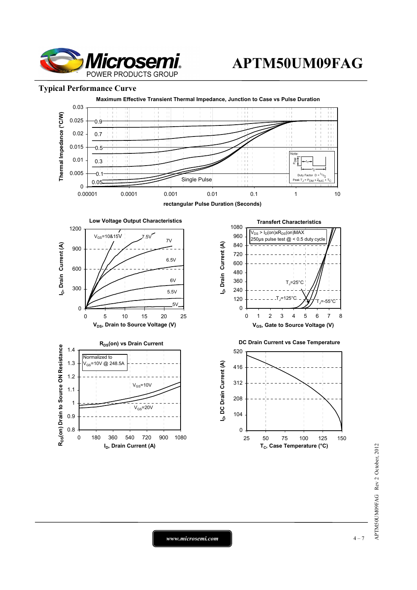

#### **Typical Performance Curve**



*www.microsemi.com* 1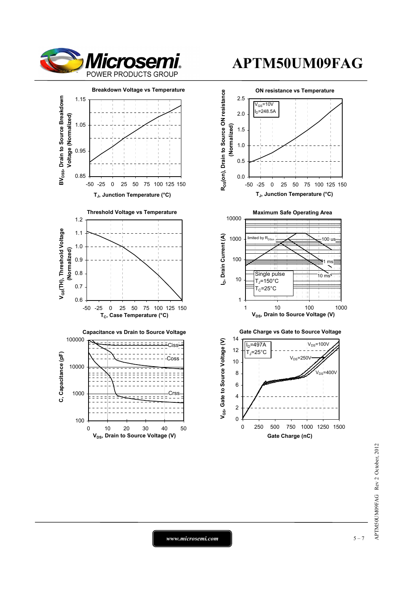



0 10 20 30 40 50 **V<sub>DS</sub>**, Drain to Source Voltage (V)

100

# **APTM50UM09FAG**



*www.microsemi.com* 1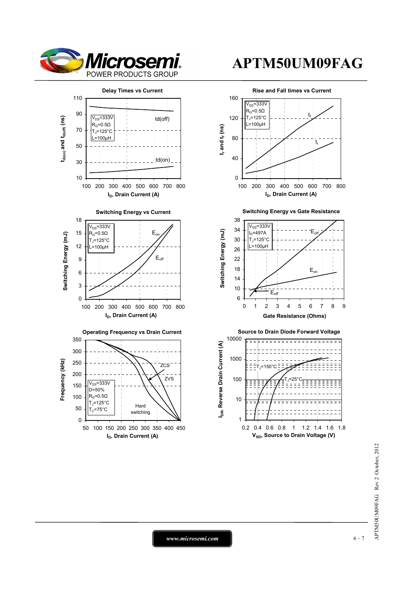



#### **Hard** switching 0 50 100 50 100 150 200 250 300 350 400 450 **I<sub>D</sub>, Drain Current (A)**  $R_G=0.5Ω$  $T<sub>j</sub>=125°C$  $=75^{\circ}C$

# **APTM50UM09FAG**



APTM50UM09FAG Rev 2 October, 2012 APTM50UM09FAG Rev 2 October, 2012

*www.microsemi.com* 6-7